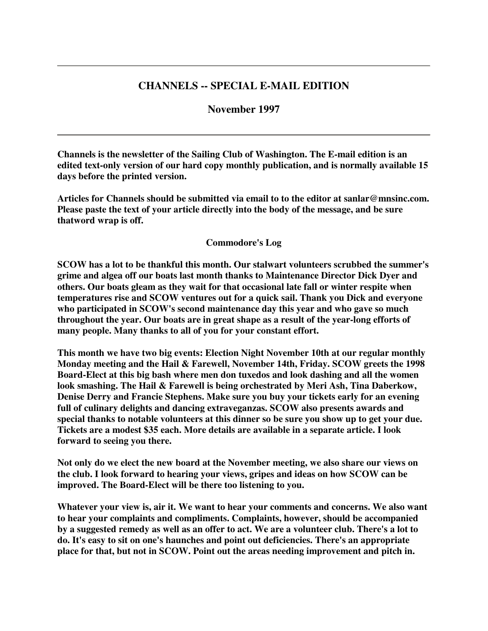# **CHANNELS -- SPECIAL E-MAIL EDITION**

## **November 1997**

**Channels is the newsletter of the Sailing Club of Washington. The E-mail edition is an edited text-only version of our hard copy monthly publication, and is normally available 15 days before the printed version.**

**Articles for Channels should be submitted via email to to the editor at sanlar@mnsinc.com. Please paste the text of your article directly into the body of the message, and be sure thatword wrap is off.**

#### **Commodore's Log**

**SCOW has a lot to be thankful this month. Our stalwart volunteers scrubbed the summer's grime and algea off our boats last month thanks to Maintenance Director Dick Dyer and others. Our boats gleam as they wait for that occasional late fall or winter respite when temperatures rise and SCOW ventures out for a quick sail. Thank you Dick and everyone who participated in SCOW's second maintenance day this year and who gave so much throughout the year. Our boats are in great shape as a result of the year-long efforts of many people. Many thanks to all of you for your constant effort.**

**This month we have two big events: Election Night November 10th at our regular monthly Monday meeting and the Hail & Farewell, November 14th, Friday. SCOW greets the 1998 Board-Elect at this big bash where men don tuxedos and look dashing and all the women look smashing. The Hail & Farewell is being orchestrated by Meri Ash, Tina Daberkow, Denise Derry and Francie Stephens. Make sure you buy your tickets early for an evening full of culinary delights and dancing extraveganzas. SCOW also presents awards and special thanks to notable volunteers at this dinner so be sure you show up to get your due. Tickets are a modest \$35 each. More details are available in a separate article. I look forward to seeing you there.**

**Not only do we elect the new board at the November meeting, we also share our views on the club. I look forward to hearing your views, gripes and ideas on how SCOW can be improved. The Board-Elect will be there too listening to you.**

**Whatever your view is, air it. We want to hear your comments and concerns. We also want to hear your complaints and compliments. Complaints, however, should be accompanied** by a suggested remedy as well as an offer to act. We are a volunteer club. There's a lot to **do. It's easy to sit on one's haunches and point out deficiencies. There's an appropriate place for that, but not in SCOW. Point out the areas needing improvement and pitch in.**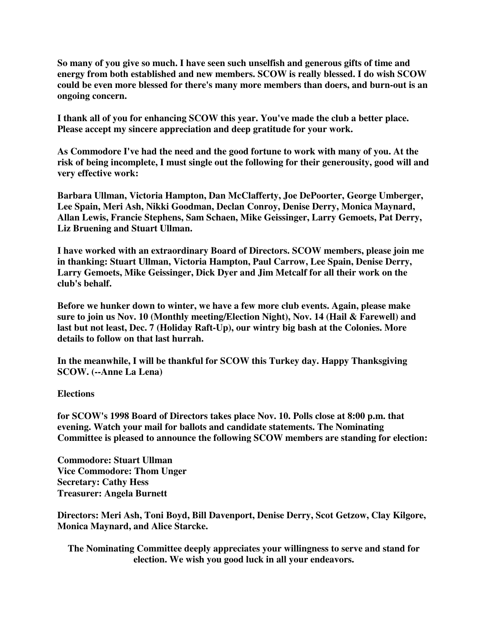**So many of you give so much. I have seen such unselfish and generous gifts of time and energy from both established and new members. SCOW is really blessed. I do wish SCOW could be even more blessed for there's many more members than doers, and burn-out is an ongoing concern.**

**I thank all of you for enhancing SCOW this year. You've made the club a better place. Please accept my sincere appreciation and deep gratitude for your work.**

**As Commodore I've had the need and the good fortune to work with many of you. At the risk of being incomplete, I must single out the following for their generousity, good will and very effective work:**

**Barbara Ullman, Victoria Hampton, Dan McClafferty, Joe DePoorter, George Umberger, Lee Spain, Meri Ash, Nikki Goodman, Declan Conroy, Denise Derry, Monica Maynard, Allan Lewis, Francie Stephens, Sam Schaen, Mike Geissinger, Larry Gemoets, Pat Derry, Liz Bruening and Stuart Ullman.**

**I have worked with an extraordinary Board of Directors. SCOW members, please join me in thanking: Stuart Ullman, Victoria Hampton, Paul Carrow, Lee Spain, Denise Derry, Larry Gemoets, Mike Geissinger, Dick Dyer and Jim Metcalf for all their work on the club's behalf.**

**Before we hunker down to winter, we have a few more club events. Again, please make sure to join us Nov. 10 (Monthly meeting/Election Night), Nov. 14 (Hail & Farewell) and last but not least, Dec. 7 (Holiday Raft-Up), our wintry big bash at the Colonies. More details to follow on that last hurrah.**

**In the meanwhile, I will be thankful for SCOW this Turkey day. Happy Thanksgiving SCOW. (--Anne La Lena)**

### **Elections**

**for SCOW's 1998 Board of Directors takes place Nov. 10. Polls close at 8:00 p.m. that evening. Watch your mail for ballots and candidate statements. The Nominating Committee is pleased to announce the following SCOW members are standing for election:**

**Commodore: Stuart Ullman Vice Commodore: Thom Unger Secretary: Cathy Hess Treasurer: Angela Burnett**

**Directors: Meri Ash, Toni Boyd, Bill Davenport, Denise Derry, Scot Getzow, Clay Kilgore, Monica Maynard, and Alice Starcke.**

**The Nominating Committee deeply appreciates your willingness to serve and stand for election. We wish you good luck in all your endeavors.**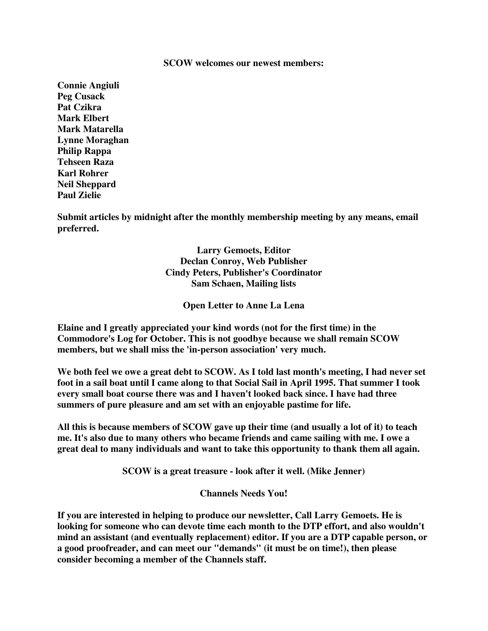#### **SCOW welcomes our newest members:**

**Connie Angiuli Peg Cusack Pat Czikra Mark Elbert Mark Matarella Lynne Moraghan Philip Rappa Tehseen Raza Karl Rohrer Neil Sheppard Paul Zielie**

**Submit articles by midnight after the monthly membership meeting by any means, email preferred.**

> **Larry Gemoets, Editor Declan Conroy, Web Publisher Cindy Peters, Publisher's Coordinator Sam Schaen, Mailing lists**

> > **Open Letter to Anne La Lena**

**Elaine and I greatly appreciated your kind words (not for the first time) in the Commodore's Log for October. This is not goodbye because we shall remain SCOW members, but we shall miss the 'in-person association' very much.**

We both feel we owe a great debt to SCOW. As I told last month's meeting, I had never set foot in a sail boat until I came along to that Social Sail in April 1995. That summer I took **every small boat course there was and I haven't looked back since. I have had three summers of pure pleasure and am set with an enjoyable pastime for life.**

**All this is because members of SCOW gave up their time (and usually a lot of it) to teach me. It's also due to many others who became friends and came sailing with me. I owe a great deal to many individuals and want to take this opportunity to thank them all again.**

**SCOW is a great treasure - look after it well. (Mike Jenner)**

**Channels Needs You!**

**If you are interested in helping to produce our newsletter, Call Larry Gemoets. He is looking for someone who can devote time each month to the DTP effort, and also wouldn't mind an assistant (and eventually replacement) editor. If you are a DTP capable person, or a good proofreader, and can meet our "demands" (it must be on time!), then please consider becoming a member of the Channels staff.**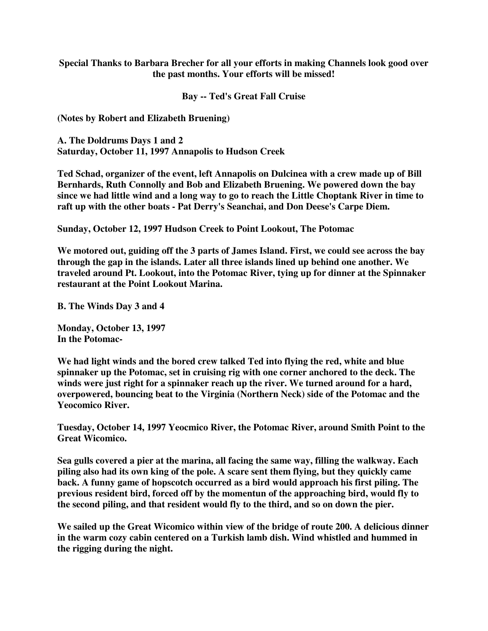### **Special Thanks to Barbara Brecher for all your efforts in making Channels look good over the past months. Your efforts will be missed!**

**Bay -- Ted's Great Fall Cruise**

**(Notes by Robert and Elizabeth Bruening)**

**A. The Doldrums Days 1 and 2 Saturday, October 11, 1997 Annapolis to Hudson Creek**

**Ted Schad, organizer of the event, left Annapolis on Dulcinea with a crew made up of Bill Bernhards, Ruth Connolly and Bob and Elizabeth Bruening. We powered down the bay** since we had little wind and a long way to go to reach the Little Choptank River in time to **raft up with the other boats - Pat Derry's Seanchai, and Don Deese's Carpe Diem.**

**Sunday, October 12, 1997 Hudson Creek to Point Lookout, The Potomac**

**We motored out, guiding off the 3 parts of James Island. First, we could see across the bay through the gap in the islands. Later all three islands lined up behind one another. We traveled around Pt. Lookout, into the Potomac River, tying up for dinner at the Spinnaker restaurant at the Point Lookout Marina.**

**B. The Winds Day 3 and 4**

**Monday, October 13, 1997 In the Potomac-**

**We had light winds and the bored crew talked Ted into flying the red, white and blue spinnaker up the Potomac, set in cruising rig with one corner anchored to the deck. The winds were just right for a spinnaker reach up the river. We turned around for a hard, overpowered, bouncing beat to the Virginia (Northern Neck) side of the Potomac and the Yeocomico River.**

**Tuesday, October 14, 1997 Yeocmico River, the Potomac River, around Smith Point to the Great Wicomico.**

**Sea gulls covered a pier at the marina, all facing the same way, filling the walkway. Each piling also had its own king of the pole. A scare sent them flying, but they quickly came back. A funny game of hopscotch occurred as a bird would approach his first piling. The previous resident bird, forced off by the momentun of the approaching bird, would fly to the second piling, and that resident would fly to the third, and so on down the pier.**

**We sailed up the Great Wicomico within view of the bridge of route 200. A delicious dinner in the warm cozy cabin centered on a Turkish lamb dish. Wind whistled and hummed in the rigging during the night.**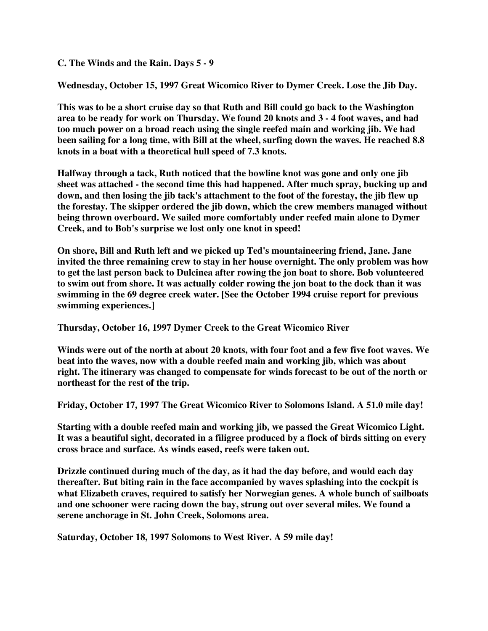**C. The Winds and the Rain. Days 5 - 9**

**Wednesday, October 15, 1997 Great Wicomico River to Dymer Creek. Lose the Jib Day.**

**This was to be a short cruise day so that Ruth and Bill could go back to the Washington** area to be ready for work on Thursday. We found 20 knots and 3 - 4 foot waves, and had **too much power on a broad reach using the single reefed main and working jib. We had been sailing for a long time, with Bill at the wheel, surfing down the waves. He reached 8.8 knots in a boat with a theoretical hull speed of 7.3 knots.**

**Halfway through a tack, Ruth noticed that the bowline knot was gone and only one jib sheet was attached - the second time this had happened. After much spray, bucking up and down, and then losing the jib tack's attachment to the foot of the forestay, the jib flew up the forestay. The skipper ordered the jib down, which the crew members managed without being thrown overboard. We sailed more comfortably under reefed main alone to Dymer Creek, and to Bob's surprise we lost only one knot in speed!**

**On shore, Bill and Ruth left and we picked up Ted's mountaineering friend, Jane. Jane invited the three remaining crew to stay in her house overnight. The only problem was how to get the last person back to Dulcinea after rowing the jon boat to shore. Bob volunteered to swim out from shore. It was actually colder rowing the jon boat to the dock than it was swimming in the 69 degree creek water. [See the October 1994 cruise report for previous swimming experiences.]**

**Thursday, October 16, 1997 Dymer Creek to the Great Wicomico River**

Winds were out of the north at about 20 knots, with four foot and a few five foot waves. We **beat into the waves, now with a double reefed main and working jib, which was about right. The itinerary was changed to compensate for winds forecast to be out of the north or northeast for the rest of the trip.**

**Friday, October 17, 1997 The Great Wicomico River to Solomons Island. A 51.0 mile day!**

**Starting with a double reefed main and working jib, we passed the Great Wicomico Light. It was a beautiful sight, decorated in a filigree produced by a flock of birds sitting on every cross brace and surface. As winds eased, reefs were taken out.**

**Drizzle continued during much of the day, as it had the day before, and would each day thereafter. But biting rain in the face accompanied by waves splashing into the cockpit is what Elizabeth craves, required to satisfy her Norwegian genes. A whole bunch of sailboats and one schooner were racing down the bay, strung out over several miles. We found a serene anchorage in St. John Creek, Solomons area.**

**Saturday, October 18, 1997 Solomons to West River. A 59 mile day!**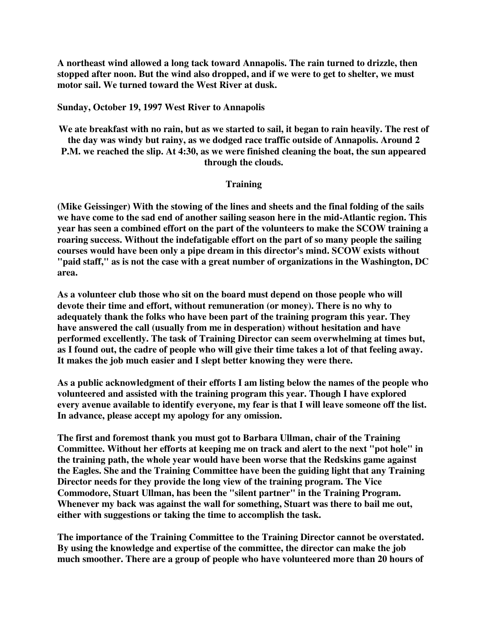**A northeast wind allowed a long tack toward Annapolis. The rain turned to drizzle, then stopped after noon. But the wind also dropped, and if we were to get to shelter, we must motor sail. We turned toward the West River at dusk.**

### **Sunday, October 19, 1997 West River to Annapolis**

We ate breakfast with no rain, but as we started to sail, it began to rain heavily. The rest of **the day was windy but rainy, as we dodged race traffic outside of Annapolis. Around 2 P.M. we reached the slip. At 4:30, as we were finished cleaning the boat, the sun appeared through the clouds.**

### **Training**

**(Mike Geissinger) With the stowing of the lines and sheets and the final folding of the sails we have come to the sad end of another sailing season here in the mid-Atlantic region. This year has seen a combined effort on the part of the volunteers to make the SCOW training a roaring success. Without the indefatigable effort on the part of so many people the sailing courses would have been only a pipe dream in this director's mind. SCOW exists without "paid staff," as is not the case with a great number of organizations in the Washington, DC area.**

**As a volunteer club those who sit on the board must depend on those people who will devote their time and effort, without remuneration (or money). There is no why to adequately thank the folks who have been part of the training program this year. They have answered the call (usually from me in desperation) without hesitation and have performed excellently. The task of Training Director can seem overwhelming at times but,** as I found out, the cadre of people who will give their time takes a lot of that feeling away. **It makes the job much easier and I slept better knowing they were there.**

**As a public acknowledgment of their efforts I am listing below the names of the people who volunteered and assisted with the training program this year. Though I have explored every avenue available to identify everyone, my fear is that I will leave someone off the list. In advance, please accept my apology for any omission.**

**The first and foremost thank you must got to Barbara Ullman, chair of the Training Committee. Without her efforts at keeping me on track and alert to the next "pot hole" in the training path, the whole year would have been worse that the Redskins game against the Eagles. She and the Training Committee have been the guiding light that any Training Director needs for they provide the long view of the training program. The Vice Commodore, Stuart Ullman, has been the "silent partner" in the Training Program. Whenever my back was against the wall for something, Stuart was there to bail me out, either with suggestions or taking the time to accomplish the task.**

**The importance of the Training Committee to the Training Director cannot be overstated. By using the knowledge and expertise of the committee, the director can make the job much smoother. There are a group of people who have volunteered more than 20 hours of**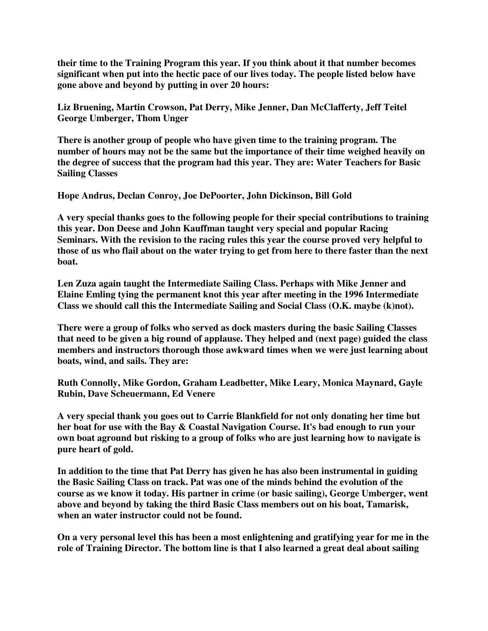**their time to the Training Program this year. If you think about it that number becomes significant when put into the hectic pace of our lives today. The people listed below have gone above and beyond by putting in over 20 hours:**

**Liz Bruening, Martin Crowson, Pat Derry, Mike Jenner, Dan McClafferty, Jeff Teitel George Umberger, Thom Unger**

**There is another group of people who have given time to the training program. The number of hours may not be the same but the importance of their time weighed heavily on the degree of success that the program had this year. They are: Water Teachers for Basic Sailing Classes**

**Hope Andrus, Declan Conroy, Joe DePoorter, John Dickinson, Bill Gold**

**A very special thanks goes to the following people for their special contributions to training this year. Don Deese and John Kauffman taught very special and popular Racing Seminars. With the revision to the racing rules this year the course proved very helpful to** those of us who flail about on the water trying to get from here to there faster than the next **boat.**

**Len Zuza again taught the Intermediate Sailing Class. Perhaps with Mike Jenner and Elaine Emling tying the permanent knot this year after meeting in the 1996 Intermediate Class we should call this the Intermediate Sailing and Social Class (O.K. maybe (k)not).**

**There were a group of folks who served as dock masters during the basic Sailing Classes that need to be given a big round of applause. They helped and (next page) guided the class members and instructors thorough those awkward times when we were just learning about boats, wind, and sails. They are:**

**Ruth Connolly, Mike Gordon, Graham Leadbetter, Mike Leary, Monica Maynard, Gayle Rubin, Dave Scheuermann, Ed Venere**

**A very special thank you goes out to Carrie Blankfield for not only donating her time but her boat for use with the Bay & Coastal Navigation Course. It's bad enough to run your own boat aground but risking to a group of folks who are just learning how to navigate is pure heart of gold.**

**In addition to the time that Pat Derry has given he has also been instrumental in guiding the Basic Sailing Class on track. Pat was one of the minds behind the evolution of the course as we know it today. His partner in crime (or basic sailing), George Umberger, went above and beyond by taking the third Basic Class members out on his boat, Tamarisk, when an water instructor could not be found.**

**On a very personal level this has been a most enlightening and gratifying year for me in the role of Training Director. The bottom line is that I also learned a great deal about sailing**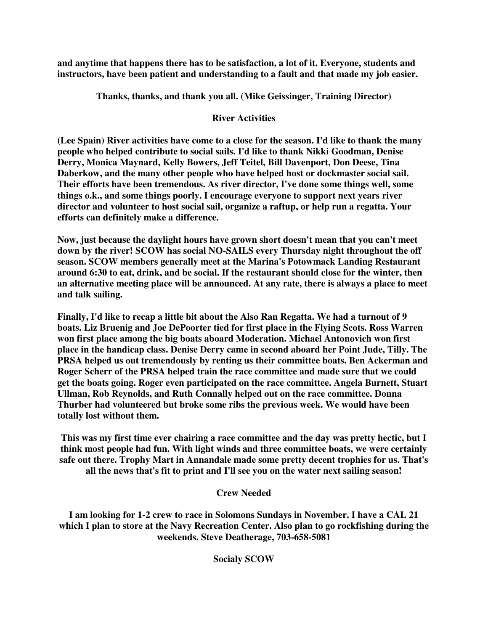**and anytime that happens there has to be satisfaction, a lot of it. Everyone, students and instructors, have been patient and understanding to a fault and that made my job easier.**

**Thanks, thanks, and thank you all. (Mike Geissinger, Training Director)**

# **River Activities**

**(Lee Spain) River activities have come to a close for the season. I'd like to thank the many people who helped contribute to social sails. I'd like to thank Nikki Goodman, Denise Derry, Monica Maynard, Kelly Bowers, Jeff Teitel, Bill Davenport, Don Deese, Tina Daberkow, and the many other people who have helped host or dockmaster social sail. Their efforts have been tremendous. As river director, I've done some things well, some things o.k., and some things poorly. I encourage everyone to support next years river director and volunteer to host social sail, organize a raftup, or help run a regatta. Your efforts can definitely make a difference.**

**Now, just because the daylight hours have grown short doesn't mean that you can't meet down by the river! SCOW has social NO-SAILS every Thursday night throughout the off season. SCOW members generally meet at the Marina's Potowmack Landing Restaurant around 6:30 to eat, drink, and be social. If the restaurant should close for the winter, then an alternative meeting place will be announced. At any rate, there is always a place to meet and talk sailing.**

**Finally, I'd like to recap a little bit about the Also Ran Regatta. We had a turnout of 9 boats. Liz Bruenig and Joe DePoorter tied for first place in the Flying Scots. Ross Warren won first place among the big boats aboard Moderation. Michael Antonovich won first place in the handicap class. Denise Derry came in second aboard her Point Jude, Tilly. The PRSA helped us out tremendously by renting us their committee boats. Ben Ackerman and Roger Scherr of the PRSA helped train the race committee and made sure that we could get the boats going. Roger even participated on the race committee. Angela Burnett, Stuart Ullman, Rob Reynolds, and Ruth Connally helped out on the race committee. Donna Thurber had volunteered but broke some ribs the previous week. We would have been totally lost without them.**

**This was my first time ever chairing a race committee and the day was pretty hectic, but I think most people had fun. With light winds and three committee boats, we were certainly safe out there. Trophy Mart in Annandale made some pretty decent trophies for us. That's all the news that's fit to print and I'll see you on the water next sailing season!**

# **Crew Needed**

**I am looking for 1-2 crew to race in Solomons Sundays in November. I have a CAL 21 which I plan to store at the Navy Recreation Center. Also plan to go rockfishing during the weekends. Steve Deatherage, 703-658-5081**

**Socialy SCOW**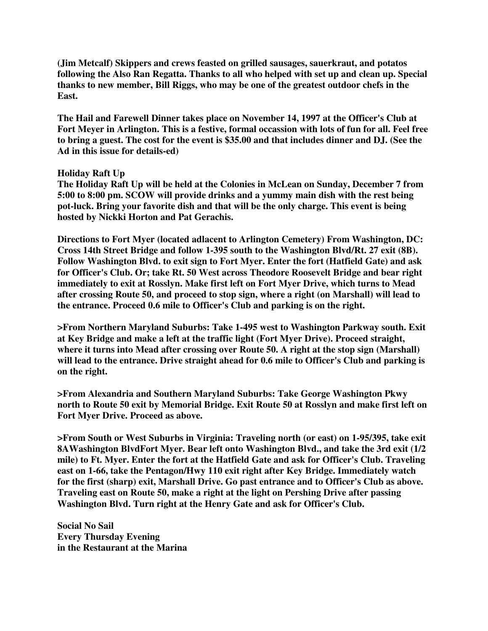**(Jim Metcalf) Skippers and crews feasted on grilled sausages, sauerkraut, and potatos following the Also Ran Regatta. Thanks to all who helped with set up and clean up. Special thanks to new member, Bill Riggs, who may be one of the greatest outdoor chefs in the East.**

**The Hail and Farewell Dinner takes place on November 14, 1997 at the Officer's Club at Fort Meyer in Arlington. This is a festive, formal occassion with lots of fun for all. Feel free** to bring a guest. The cost for the event is \$35.00 and that includes dinner and D.J. (See the **Ad in this issue for details-ed)**

#### **Holiday Raft Up**

**The Holiday Raft Up will be held at the Colonies in McLean on Sunday, December 7 from 5:00 to 8:00 pm. SCOW will provide drinks and a yummy main dish with the rest being pot-luck. Bring your favorite dish and that will be the only charge. This event is being hosted by Nickki Horton and Pat Gerachis.**

**Directions to Fort Myer (located adlacent to Arlington Cemetery) From Washington, DC: Cross 14th Street Bridge and follow 1-395 south to the Washington Blvd/Rt. 27 exit (8B). Follow Washington Blvd. to exit sign to Fort Myer. Enter the fort (Hatfield Gate) and ask for Officer's Club. Or; take Rt. 50 West across Theodore Roosevelt Bridge and bear right immediately to exit at Rosslyn. Make first left on Fort Myer Drive, which turns to Mead after crossing Route 50, and proceed to stop sign, where a right (on Marshall) will lead to the entrance. Proceed 0.6 mile to Officer's Club and parking is on the right.**

**>From Northern Maryland Suburbs: Take 1-495 west to Washington Parkway south. Exit at Key Bridge and make a left at the traffic light (Fort Myer Drive). Proceed straight, where it turns into Mead after crossing over Route 50. A right at the stop sign (Marshall) will lead to the entrance. Drive straight ahead for 0.6 mile to Officer's Club and parking is on the right.**

**>From Alexandria and Southern Maryland Suburbs: Take George Washington Pkwy north to Route 50 exit by Memorial Bridge. Exit Route 50 at Rosslyn and make first left on Fort Myer Drive. Proceed as above.**

**>From South or West Suburbs in Virginia: Traveling north (or east) on 1-95/395, take exit 8AWashington BlvdFort Myer. Bear left onto Washington Blvd., and take the 3rd exit (1/2 mile) to Ft. Myer. Enter the fort at the Hatfield Gate and ask for Officer's Club. Traveling east on 1-66, take the Pentagon/Hwy 110 exit right after Key Bridge. Immediately watch for the first (sharp) exit, Marshall Drive. Go past entrance and to Officer's Club as above. Traveling east on Route 50, make a right at the light on Pershing Drive after passing Washington Blvd. Turn right at the Henry Gate and ask for Officer's Club.**

**Social No Sail Every Thursday Evening in the Restaurant at the Marina**